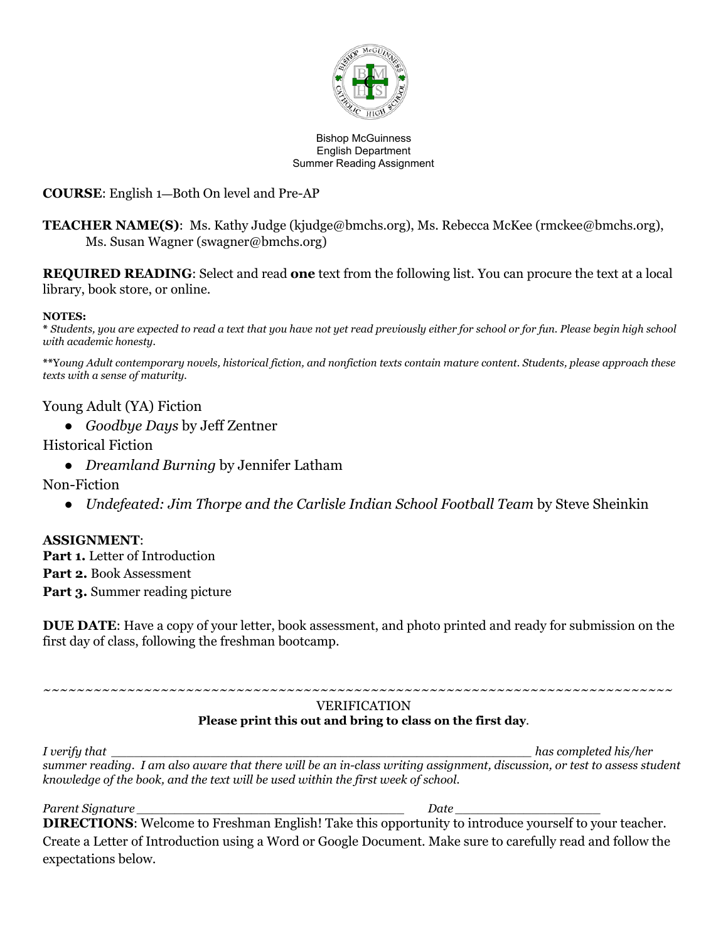

#### Bishop McGuinness English Department Summer Reading Assignment

### **COURSE**: English 1—Both On level and Pre-AP

**TEACHER NAME(S)**: Ms. Kathy Judge (kjudge@bmchs.org), Ms. Rebecca McKee (rmckee@bmchs.org), Ms. Susan Wagner (swagner@bmchs.org)

**REQUIRED READING**: Select and read **one** text from the following list. You can procure the text at a local library, book store, or online.

#### **NOTES:**

**\*** *Students, you are expected to read a text that you have not yet read previously either for school or for fun. Please begin high school with academic honesty.*

**\*\***Y*oung Adult contemporary novels, historical fiction, and nonfiction texts contain mature content. Students, please approach these texts with a sense of maturity.*

### Young Adult (YA) Fiction

● *Goodbye Days* by Jeff Zentner

#### Historical Fiction

● *Dreamland Burning* by Jennifer Latham

Non-Fiction

*● Undefeated: Jim Thorpe and the Carlisle Indian School Football Team* by Steve Sheinkin

### **ASSIGNMENT**:

**Part 1.** Letter of Introduction **Part 2.** Book Assessment **Part 3.** Summer reading picture

**DUE DATE**: Have a copy of your letter, book assessment, and photo printed and ready for submission on the first day of class, following the freshman bootcamp.

#### *~~~~~~~~~~~~~~~~~~~~~~~~~~~~~~~~~~~~~~~~~~~~~~~~~~~~~~~~~~~~~~~~~~~~~~~~~~~* VERIFICATION **Please print this out and bring to class on the first day**.

*I verify that \_\_\_\_\_\_\_\_\_\_\_\_\_\_\_\_\_\_\_\_\_\_\_\_\_\_\_\_\_\_\_\_\_\_\_\_\_\_\_\_\_\_\_\_\_\_\_\_\_\_\_\_\_\_\_ has completed his/her* summer reading. I am also aware that there will be an in-class writing assignment, discussion, or test to assess student *knowledge of the book, and the text will be used within the first week of school.*

*Parent Signature \_\_\_\_\_\_\_\_\_\_\_\_\_\_\_\_\_\_\_\_\_\_\_\_\_\_\_\_\_\_\_\_\_\_\_ Date \_\_\_\_\_\_\_\_\_\_\_\_\_\_\_\_\_\_\_* **DIRECTIONS**: Welcome to Freshman English! Take this opportunity to introduce yourself to your teacher. Create a Letter of Introduction using a Word or Google Document. Make sure to carefully read and follow the expectations below.